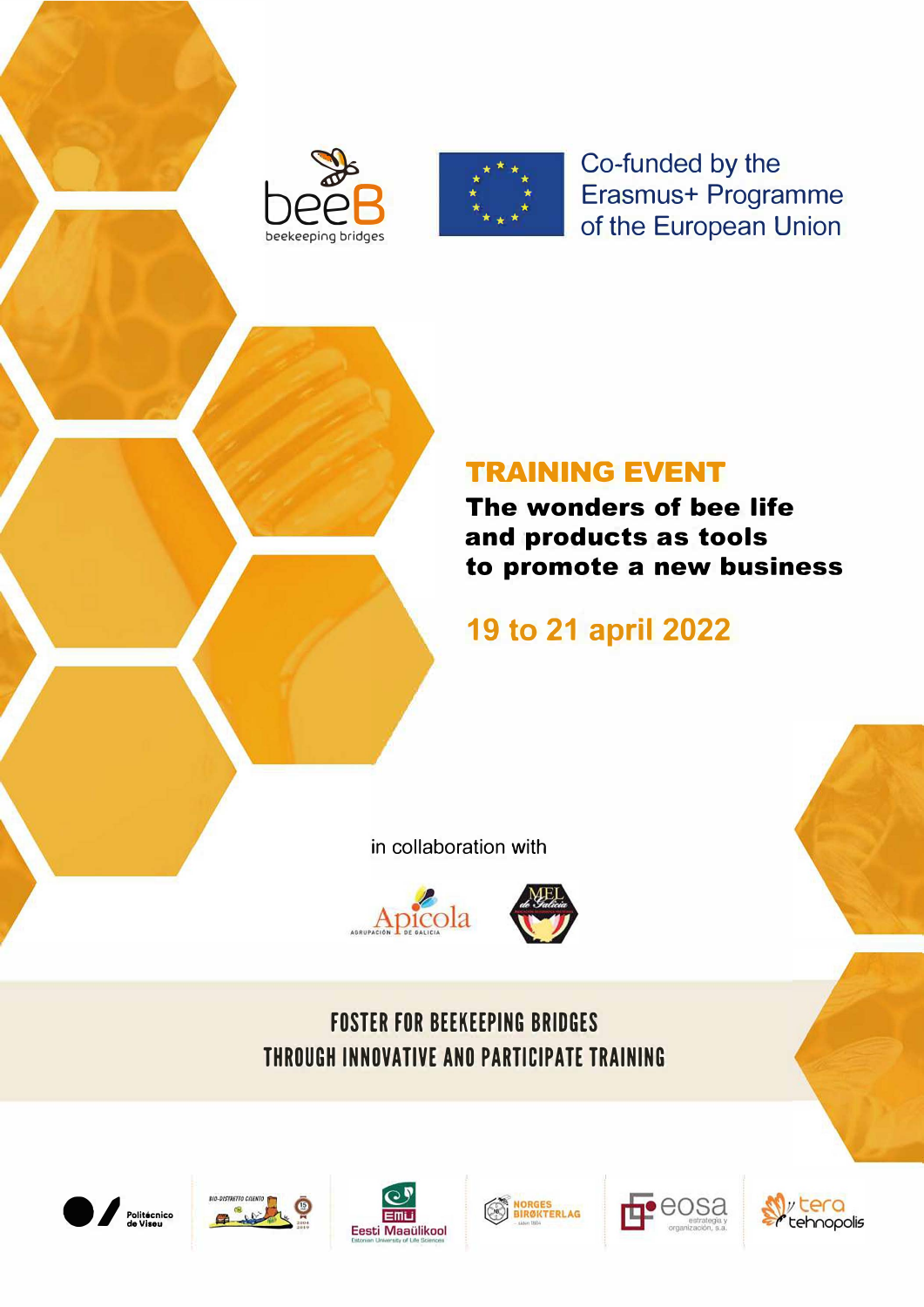



Co-funded by the Erasmus+ Programme of the European Union

### **TRAINING EVENT**

The wonders of bee life and products as tools to promote a new business

# 19 to 21 april 2022

in collaboration with



## **FOSTER FOR BEEKEEPING BRIDGES** THROUGH INNOVATIVE AND PARTICIPATE TRAINING